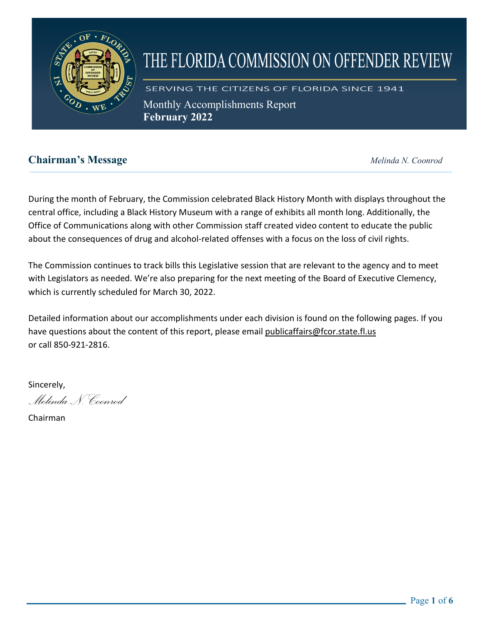

# THE FLORIDA COMMISSION ON OFFENDER REVIEW

SERVING THE CITIZENS OF FLORIDA SINCE 1941 Monthly Accomplishments Report **February 2022** 

## **Chairman's Message** *Melinda N. Coonrod*

During the month of February, the Commission celebrated Black History Month with displays throughout the central office, including a Black History Museum with a range of exhibits all month long. Additionally, the Office of Communications along with other Commission staff created video content to educate the public about the consequences of drug and alcohol-related offenses with a focus on the loss of civil rights.

The Commission continues to track bills this Legislative session that are relevant to the agency and to meet with Legislators as needed. We're also preparing for the next meeting of the Board of Executive Clemency, which is currently scheduled for March 30, 2022.

Detailed information about our accomplishments under each division is found on the following pages. If you have questions about the content of this report, please email [publicaffairs@fcor.state.fl.us](mailto:publicaffairs@fcor.state.fl.us) or call 850-921-2816.

Sincerely,

*Melinda N. Coonrod*

Chairman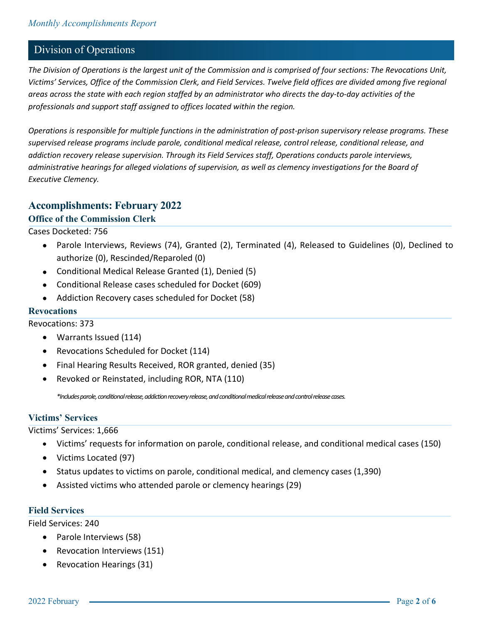## Division of Operations

*The Division of Operations is the largest unit of the Commission and is comprised of four sections: The Revocations Unit, Victims' Services, Office of the Commission Clerk, and Field Services. Twelve field offices are divided among five regional areas across the state with each region staffed by an administrator who directs the day-to-day activities of the professionals and support staff assigned to offices located within the region.*

*Operations is responsible for multiple functions in the administration of post-prison supervisory release programs. These supervised release programs include parole, conditional medical release, control release, conditional release, and addiction recovery release supervision. Through its Field Services staff, Operations conducts parole interviews, administrative hearings for alleged violations of supervision, as well as clemency investigations for the Board of Executive Clemency.*

## **Accomplishments: February 2022**

#### **Office of the Commission Clerk**

#### Cases Docketed: 756

- Parole Interviews, Reviews (74), Granted (2), Terminated (4), Released to Guidelines (0), Declined to authorize (0), Rescinded/Reparoled (0)
- Conditional Medical Release Granted (1), Denied (5)
- Conditional Release cases scheduled for Docket (609)
- Addiction Recovery cases scheduled for Docket (58)

#### **Revocations**

Revocations: 373

- Warrants Issued (114)
- Revocations Scheduled for Docket (114)
- Final Hearing Results Received, ROR granted, denied (35)
- Revoked or Reinstated, including ROR, NTA (110)

*\*Includes parole, conditional release, addiction recovery release, and conditional medical release and control release cases.*

#### **Victims' Services**

Victims' Services: 1,666

- Victims' requests for information on parole, conditional release, and conditional medical cases (150)
- Victims Located (97)
- Status updates to victims on parole, conditional medical, and clemency cases (1,390)
- Assisted victims who attended parole or clemency hearings (29)

#### **Field Services**

Field Services: 240

- Parole Interviews (58)
- Revocation Interviews (151)
- Revocation Hearings (31)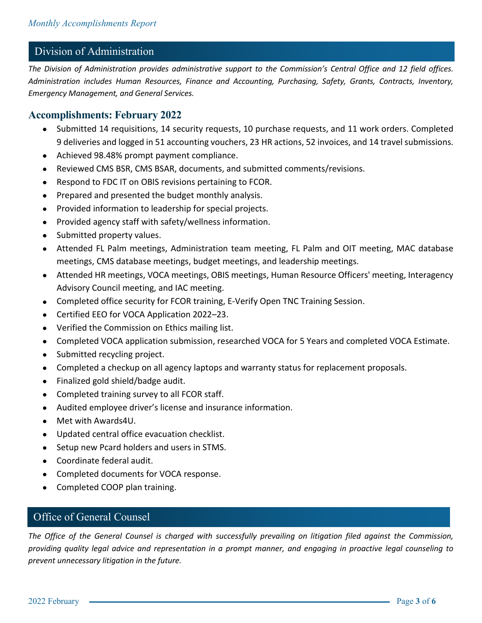# Division of Administration

*The Division of Administration provides administrative support to the Commission's Central Office and 12 field offices. Administration includes Human Resources, Finance and Accounting, Purchasing, Safety, Grants, Contracts, Inventory, Emergency Management, and General Services.* 

## **Accomplishments: February 2022**

- Submitted 14 requisitions, 14 security requests, 10 purchase requests, and 11 work orders. Completed 9 deliveries and logged in 51 accounting vouchers, 23 HR actions, 52 invoices, and 14 travel submissions.
- Achieved 98.48% prompt payment compliance.
- Reviewed CMS BSR, CMS BSAR, documents, and submitted comments/revisions.
- Respond to FDC IT on OBIS revisions pertaining to FCOR.
- Prepared and presented the budget monthly analysis.
- Provided information to leadership for special projects.
- Provided agency staff with safety/wellness information.
- Submitted property values.
- Attended FL Palm meetings, Administration team meeting, FL Palm and OIT meeting, MAC database meetings, CMS database meetings, budget meetings, and leadership meetings.
- Attended HR meetings, VOCA meetings, OBIS meetings, Human Resource Officers' meeting, Interagency Advisory Council meeting, and IAC meeting.
- Completed office security for FCOR training, E-Verify Open TNC Training Session.
- Certified EEO for VOCA Application 2022–23.
- Verified the Commission on Ethics mailing list.
- Completed VOCA application submission, researched VOCA for 5 Years and completed VOCA Estimate.
- Submitted recycling project.
- Completed a checkup on all agency laptops and warranty status for replacement proposals.
- Finalized gold shield/badge audit.
- Completed training survey to all FCOR staff.
- Audited employee driver's license and insurance information.
- Met with Awards4U.
- Updated central office evacuation checklist.
- Setup new Pcard holders and users in STMS.
- Coordinate federal audit.
- Completed documents for VOCA response.
- Completed COOP plan training.

#### Office of General Counsel

*The Office of the General Counsel is charged with successfully prevailing on litigation filed against the Commission, providing quality legal advice and representation in a prompt manner, and engaging in proactive legal counseling to prevent unnecessary litigation in the future.*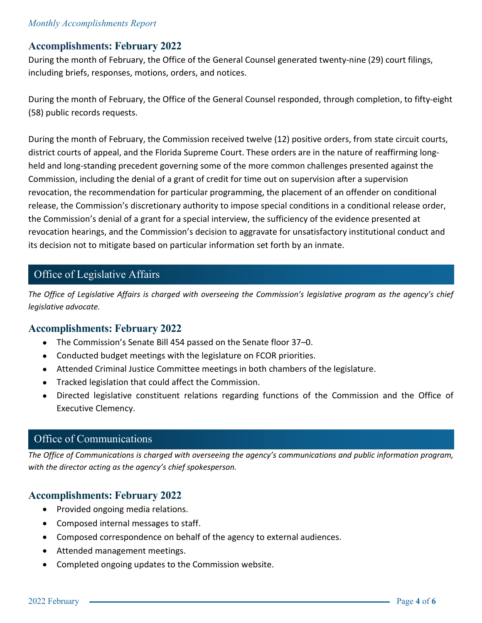#### *Monthly Accomplishments Report*

## **Accomplishments: February 2022**

During the month of February, the Office of the General Counsel generated twenty-nine (29) court filings, including briefs, responses, motions, orders, and notices.

During the month of February, the Office of the General Counsel responded, through completion, to fifty-eight (58) public records requests.

During the month of February, the Commission received twelve (12) positive orders, from state circuit courts, district courts of appeal, and the Florida Supreme Court. These orders are in the nature of reaffirming longheld and long-standing precedent governing some of the more common challenges presented against the Commission, including the denial of a grant of credit for time out on supervision after a supervision revocation, the recommendation for particular programming, the placement of an offender on conditional release, the Commission's discretionary authority to impose special conditions in a conditional release order, the Commission's denial of a grant for a special interview, the sufficiency of the evidence presented at revocation hearings, and the Commission's decision to aggravate for unsatisfactory institutional conduct and its decision not to mitigate based on particular information set forth by an inmate.

## Office of Legislative Affairs

*The Office of Legislative Affairs is charged with overseeing the Commission's legislative program as the agency's chief legislative advocate.* 

## **Accomplishments: February 2022**

- The Commission's Senate Bill 454 passed on the Senate floor 37–0.
- Conducted budget meetings with the legislature on FCOR priorities.
- Attended Criminal Justice Committee meetings in both chambers of the legislature.
- Tracked legislation that could affect the Commission.
- Directed legislative constituent relations regarding functions of the Commission and the Office of Executive Clemency.

# **The Office of Communications is charged with overseeing the agency's communications and public informations and public informations and public informations and public informations and public information program.**

*The Office of Communications is charged with overseeing the agency's communications and public information program, with the director acting as the agency's chief spokesperson.*

## **Accomplishments: February 2022**

- Provided ongoing media relations.
- Composed internal messages to staff.
- Composed correspondence on behalf of the agency to external audiences.
- Attended management meetings.
- Completed ongoing updates to the Commission website.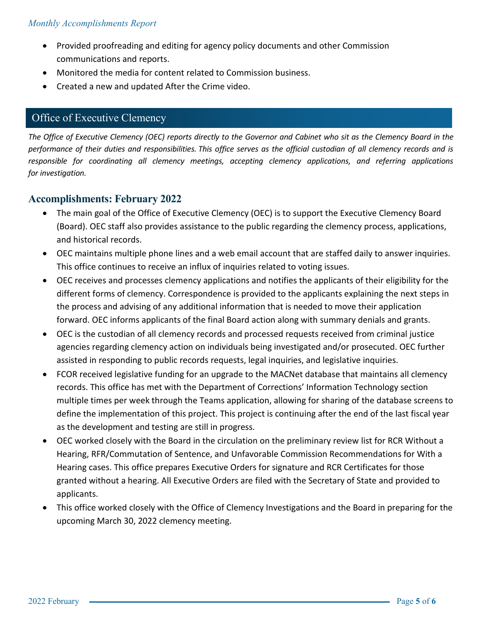- Provided proofreading and editing for agency policy documents and other Commission communications and reports.
- Monitored the media for content related to Commission business.
- Created a new and updated After the Crime video.

## Office of Executive Clemency

*The Office of Executive Clemency (OEC) reports directly to the Governor and Cabinet who sit as the Clemency Board in the performance of their duties and responsibilities. This office serves as the official custodian of all clemency records and is responsible for coordinating all clemency meetings, accepting clemency applications, and referring applications for investigation.*

## **Accomplishments: February 2022**

- The main goal of the Office of Executive Clemency (OEC) is to support the Executive Clemency Board (Board). OEC staff also provides assistance to the public regarding the clemency process, applications, and historical records.
- OEC maintains multiple phone lines and a web email account that are staffed daily to answer inquiries. This office continues to receive an influx of inquiries related to voting issues.
- OEC receives and processes clemency applications and notifies the applicants of their eligibility for the different forms of clemency. Correspondence is provided to the applicants explaining the next steps in the process and advising of any additional information that is needed to move their application forward. OEC informs applicants of the final Board action along with summary denials and grants.
- OEC is the custodian of all clemency records and processed requests received from criminal justice agencies regarding clemency action on individuals being investigated and/or prosecuted. OEC further assisted in responding to public records requests, legal inquiries, and legislative inquiries.
- FCOR received legislative funding for an upgrade to the MACNet database that maintains all clemency records. This office has met with the Department of Corrections' Information Technology section multiple times per week through the Teams application, allowing for sharing of the database screens to define the implementation of this project. This project is continuing after the end of the last fiscal year as the development and testing are still in progress.
- OEC worked closely with the Board in the circulation on the preliminary review list for RCR Without a Hearing, RFR/Commutation of Sentence, and Unfavorable Commission Recommendations for With a Hearing cases. This office prepares Executive Orders for signature and RCR Certificates for those granted without a hearing. All Executive Orders are filed with the Secretary of State and provided to applicants.
- This office worked closely with the Office of Clemency Investigations and the Board in preparing for the upcoming March 30, 2022 clemency meeting.